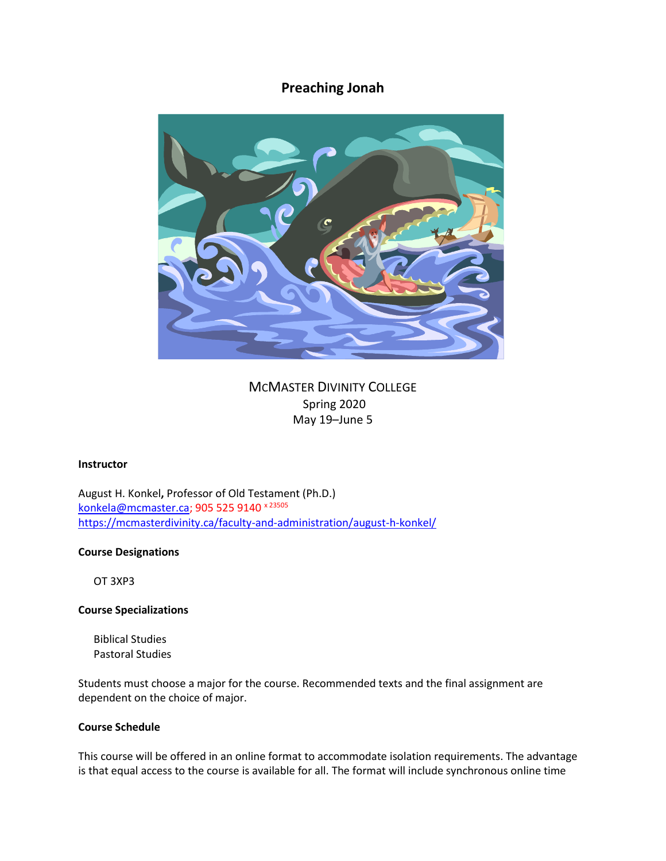# **Preaching Jonah**



MCMASTER DIVINITY COLLEGE Spring 2020 May 19–June 5

#### **Instructor**

August H. Konkel**,** Professor of Old Testament (Ph.D.) [konkela@mcmaster.ca;](mailto:konkela@mcmaster.ca) 905 525 9140 × 23505 <https://mcmasterdivinity.ca/faculty-and-administration/august-h-konkel/>

#### **Course Designations**

OT 3XP3

# **Course Specializations**

Biblical Studies Pastoral Studies

Students must choose a major for the course. Recommended texts and the final assignment are dependent on the choice of major.

# **Course Schedule**

This course will be offered in an online format to accommodate isolation requirements. The advantage is that equal access to the course is available for all. The format will include synchronous online time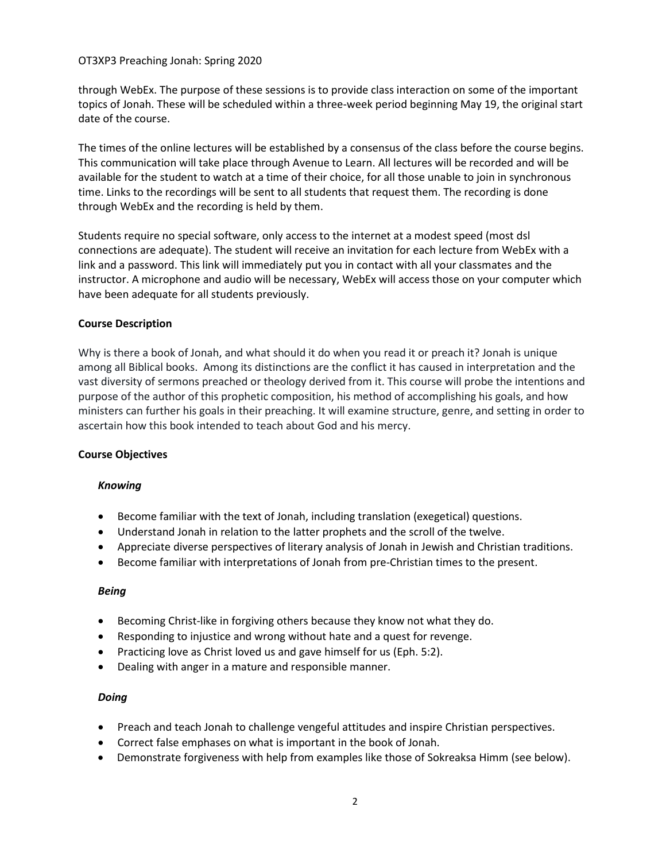through WebEx. The purpose of these sessions is to provide class interaction on some of the important topics of Jonah. These will be scheduled within a three-week period beginning May 19, the original start date of the course.

The times of the online lectures will be established by a consensus of the class before the course begins. This communication will take place through Avenue to Learn. All lectures will be recorded and will be available for the student to watch at a time of their choice, for all those unable to join in synchronous time. Links to the recordings will be sent to all students that request them. The recording is done through WebEx and the recording is held by them.

Students require no special software, only access to the internet at a modest speed (most dsl connections are adequate). The student will receive an invitation for each lecture from WebEx with a link and a password. This link will immediately put you in contact with all your classmates and the instructor. A microphone and audio will be necessary, WebEx will access those on your computer which have been adequate for all students previously.

# **Course Description**

Why is there a book of Jonah, and what should it do when you read it or preach it? Jonah is unique among all Biblical books. Among its distinctions are the conflict it has caused in interpretation and the vast diversity of sermons preached or theology derived from it. This course will probe the intentions and purpose of the author of this prophetic composition, his method of accomplishing his goals, and how ministers can further his goals in their preaching. It will examine structure, genre, and setting in order to ascertain how this book intended to teach about God and his mercy.

# **Course Objectives**

#### *Knowing*

- Become familiar with the text of Jonah, including translation (exegetical) questions.
- Understand Jonah in relation to the latter prophets and the scroll of the twelve.
- Appreciate diverse perspectives of literary analysis of Jonah in Jewish and Christian traditions.
- Become familiar with interpretations of Jonah from pre-Christian times to the present.

#### *Being*

- Becoming Christ-like in forgiving others because they know not what they do.
- Responding to injustice and wrong without hate and a quest for revenge.
- Practicing love as Christ loved us and gave himself for us (Eph. 5:2).
- Dealing with anger in a mature and responsible manner.

# *Doing*

- Preach and teach Jonah to challenge vengeful attitudes and inspire Christian perspectives.
- Correct false emphases on what is important in the book of Jonah.
- Demonstrate forgiveness with help from examples like those of Sokreaksa Himm (see below).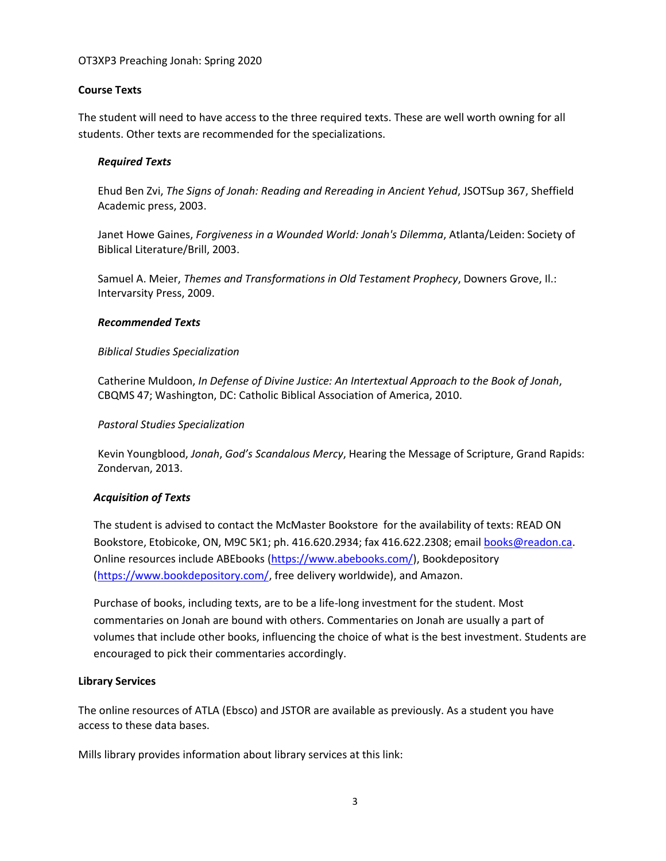# **Course Texts**

The student will need to have access to the three required texts. These are well worth owning for all students. Other texts are recommended for the specializations.

### *Required Texts*

Ehud Ben Zvi, *The Signs of Jonah: Reading and Rereading in Ancient Yehud*, JSOTSup 367, Sheffield Academic press, 2003.

Janet Howe Gaines, *Forgiveness in a Wounded World: Jonah's Dilemma*, Atlanta/Leiden: Society of Biblical Literature/Brill, 2003.

Samuel A. Meier, *Themes and Transformations in Old Testament Prophecy*, Downers Grove, Il.: Intervarsity Press, 2009.

### *Recommended Texts*

### *Biblical Studies Specialization*

Catherine Muldoon, *In Defense of Divine Justice: An Intertextual Approach to the Book of Jonah*, CBQMS 47; Washington, DC: Catholic Biblical Association of America, 2010.

# *Pastoral Studies Specialization*

Kevin Youngblood, *Jonah*, *God's Scandalous Mercy*, Hearing the Message of Scripture, Grand Rapids: Zondervan, 2013.

# *Acquisition of Texts*

The student is advised to contact the McMaster Bookstore for the availability of texts: READ ON Bookstore, Etobicoke, ON, M9C 5K1; ph. 416.620.2934; fax 416.622.2308; email [books@readon.ca.](mailto:books@readon.ca) Online resources include ABEbooks [\(https://www.abebooks.com/\)](https://www.abebooks.com/), Bookdepository [\(https://www.bookdepository.com/,](https://www.bookdepository.com/) free delivery worldwide), and Amazon.

Purchase of books, including texts, are to be a life-long investment for the student. Most commentaries on Jonah are bound with others. Commentaries on Jonah are usually a part of volumes that include other books, influencing the choice of what is the best investment. Students are encouraged to pick their commentaries accordingly.

#### **Library Services**

The online resources of ATLA (Ebsco) and JSTOR are available as previously. As a student you have access to these data bases.

Mills library provides information about library services at this link: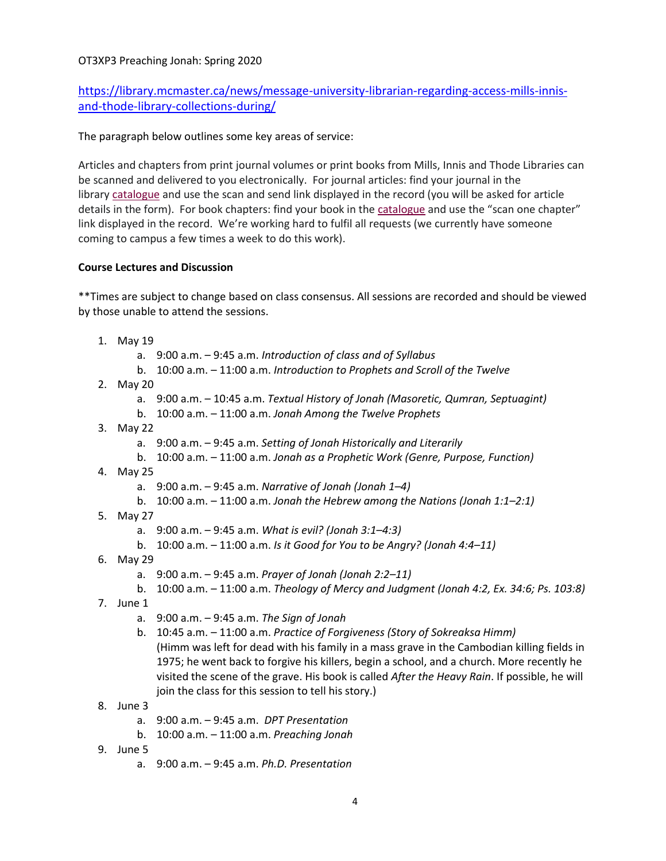# [https://library.mcmaster.ca/news/message-university-librarian-regarding-access-mills-innis](https://library.mcmaster.ca/news/message-university-librarian-regarding-access-mills-innis-and-thode-library-collections-during/)[and-thode-library-collections-during/](https://library.mcmaster.ca/news/message-university-librarian-regarding-access-mills-innis-and-thode-library-collections-during/)

The paragraph below outlines some key areas of service:

Articles and chapters from print journal volumes or print books from Mills, Innis and Thode Libraries can be scanned and delivered to you electronically. For journal articles: find your journal in the library [catalogue](https://discovery.mcmaster.ca/) and use the scan and send link displayed in the record (you will be asked for article details in the form). For book chapters: find your book in the [catalogue](https://discovery.mcmaster.ca/) and use the "scan one chapter" link displayed in the record. We're working hard to fulfil all requests (we currently have someone coming to campus a few times a week to do this work).

# **Course Lectures and Discussion**

\*\*Times are subject to change based on class consensus. All sessions are recorded and should be viewed by those unable to attend the sessions.

- 1. May 19
	- a. 9:00 a.m. 9:45 a.m. *Introduction of class and of Syllabus*
	- b. 10:00 a.m. 11:00 a.m. *Introduction to Prophets and Scroll of the Twelve*
- 2. May 20
	- a. 9:00 a.m. 10:45 a.m. *Textual History of Jonah (Masoretic, Qumran, Septuagint)*
	- b. 10:00 a.m. 11:00 a.m. *Jonah Among the Twelve Prophets*
- 3. May 22
	- a. 9:00 a.m. 9:45 a.m. *Setting of Jonah Historically and Literarily*
	- b. 10:00 a.m. 11:00 a.m. *Jonah as a Prophetic Work (Genre, Purpose, Function)*
- 4. May 25
	- a. 9:00 a.m. 9:45 a.m. *Narrative of Jonah (Jonah 1–4)*
	- b. 10:00 a.m. 11:00 a.m. *Jonah the Hebrew among the Nations (Jonah 1:1–2:1)*
- 5. May 27
	- a. 9:00 a.m. 9:45 a.m. *What is evil? (Jonah 3:1–4:3)*
	- b. 10:00 a.m. 11:00 a.m. *Is it Good for You to be Angry? (Jonah 4:4–11)*
- 6. May 29
	- a. 9:00 a.m. 9:45 a.m. *Prayer of Jonah (Jonah 2:2–11)*
	- b. 10:00 a.m. 11:00 a.m. *Theology of Mercy and Judgment (Jonah 4:2, Ex. 34:6; Ps. 103:8)*
- 7. June 1
	- a. 9:00 a.m. 9:45 a.m. *The Sign of Jonah*
	- b. 10:45 a.m. 11:00 a.m. *Practice of Forgiveness (Story of Sokreaksa Himm)* (Himm was left for dead with his family in a mass grave in the Cambodian killing fields in 1975; he went back to forgive his killers, begin a school, and a church. More recently he visited the scene of the grave. His book is called *After the Heavy Rain*. If possible, he will join the class for this session to tell his story.)
- 8. June 3
	- a. 9:00 a.m. 9:45 a.m. *DPT Presentation*
	- b. 10:00 a.m. 11:00 a.m. *Preaching Jonah*
- 9. June 5
	- a. 9:00 a.m. 9:45 a.m. *Ph.D. Presentation*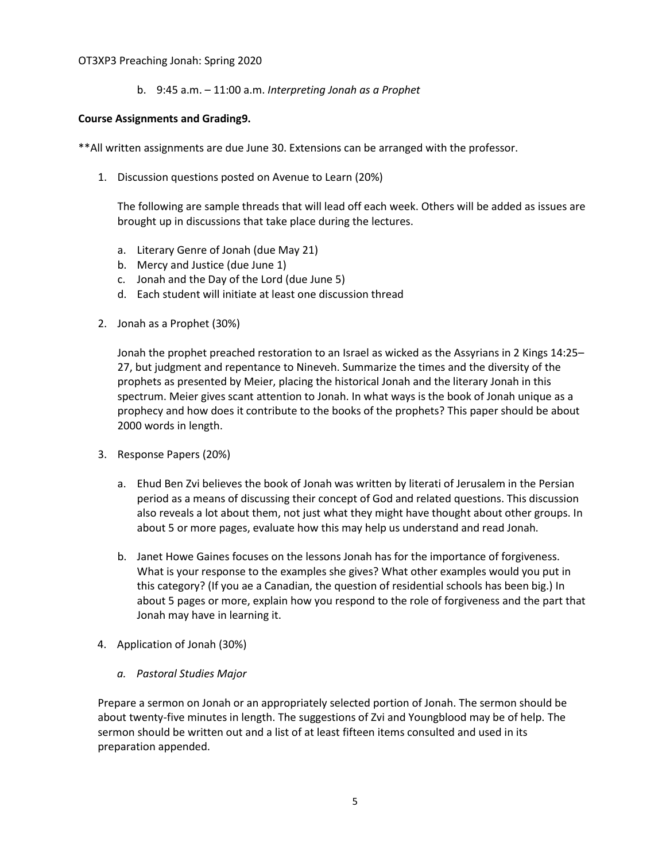b. 9:45 a.m. – 11:00 a.m. *Interpreting Jonah as a Prophet*

# **Course Assignments and Grading9.**

\*\*All written assignments are due June 30. Extensions can be arranged with the professor.

1. Discussion questions posted on Avenue to Learn (20%)

The following are sample threads that will lead off each week. Others will be added as issues are brought up in discussions that take place during the lectures.

- a. Literary Genre of Jonah (due May 21)
- b. Mercy and Justice (due June 1)
- c. Jonah and the Day of the Lord (due June 5)
- d. Each student will initiate at least one discussion thread
- 2. Jonah as a Prophet (30%)

Jonah the prophet preached restoration to an Israel as wicked as the Assyrians in 2 Kings 14:25– 27, but judgment and repentance to Nineveh. Summarize the times and the diversity of the prophets as presented by Meier, placing the historical Jonah and the literary Jonah in this spectrum. Meier gives scant attention to Jonah. In what ways is the book of Jonah unique as a prophecy and how does it contribute to the books of the prophets? This paper should be about 2000 words in length.

- 3. Response Papers (20%)
	- a. Ehud Ben Zvi believes the book of Jonah was written by literati of Jerusalem in the Persian period as a means of discussing their concept of God and related questions. This discussion also reveals a lot about them, not just what they might have thought about other groups. In about 5 or more pages, evaluate how this may help us understand and read Jonah.
	- b. Janet Howe Gaines focuses on the lessons Jonah has for the importance of forgiveness. What is your response to the examples she gives? What other examples would you put in this category? (If you ae a Canadian, the question of residential schools has been big.) In about 5 pages or more, explain how you respond to the role of forgiveness and the part that Jonah may have in learning it.
- 4. Application of Jonah (30%)
	- *a. Pastoral Studies Major*

Prepare a sermon on Jonah or an appropriately selected portion of Jonah. The sermon should be about twenty-five minutes in length. The suggestions of Zvi and Youngblood may be of help. The sermon should be written out and a list of at least fifteen items consulted and used in its preparation appended.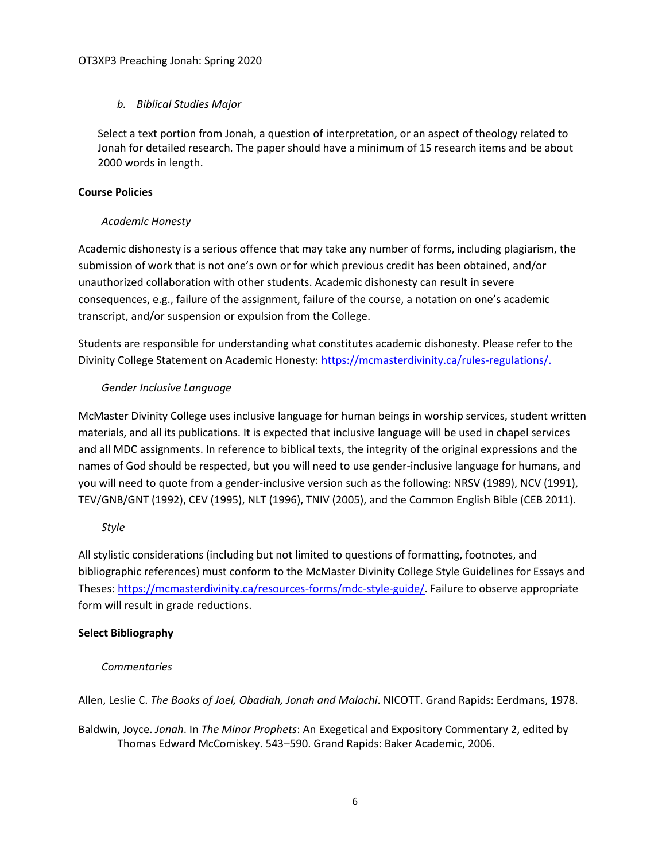# *b. Biblical Studies Major*

Select a text portion from Jonah, a question of interpretation, or an aspect of theology related to Jonah for detailed research. The paper should have a minimum of 15 research items and be about 2000 words in length.

# **Course Policies**

# *Academic Honesty*

Academic dishonesty is a serious offence that may take any number of forms, including plagiarism, the submission of work that is not one's own or for which previous credit has been obtained, and/or unauthorized collaboration with other students. Academic dishonesty can result in severe consequences, e.g., failure of the assignment, failure of the course, a notation on one's academic transcript, and/or suspension or expulsion from the College.

Students are responsible for understanding what constitutes academic dishonesty. Please refer to the Divinity College Statement on Academic Honesty: [https://mcmasterdivinity.ca/rules-regulations/.](https://mcmasterdivinity.ca/rules-regulations/)

# *Gender Inclusive Language*

McMaster Divinity College uses inclusive language for human beings in worship services, student written materials, and all its publications. It is expected that inclusive language will be used in chapel services and all MDC assignments. In reference to biblical texts, the integrity of the original expressions and the names of God should be respected, but you will need to use gender-inclusive language for humans, and you will need to quote from a gender-inclusive version such as the following: NRSV (1989), NCV (1991), TEV/GNB/GNT (1992), CEV (1995), NLT (1996), TNIV (2005), and the Common English Bible (CEB 2011).

# *Style*

All stylistic considerations (including but not limited to questions of formatting, footnotes, and bibliographic references) must conform to the McMaster Divinity College Style Guidelines for Essays and Theses: [https://mcmasterdivinity.ca/resources-forms/mdc-style-guide/.](https://mcmasterdivinity.ca/resources-forms/mdc-style-guide/) Failure to observe appropriate form will result in grade reductions.

# **Select Bibliography**

# *Commentaries*

Allen, Leslie C. *The Books of Joel, Obadiah, Jonah and Malachi*. NICOTT. Grand Rapids: Eerdmans, 1978.

Baldwin, Joyce. *Jonah*. In *The Minor Prophets*: An Exegetical and Expository Commentary 2, edited by Thomas Edward McComiskey. 543–590. Grand Rapids: Baker Academic, 2006.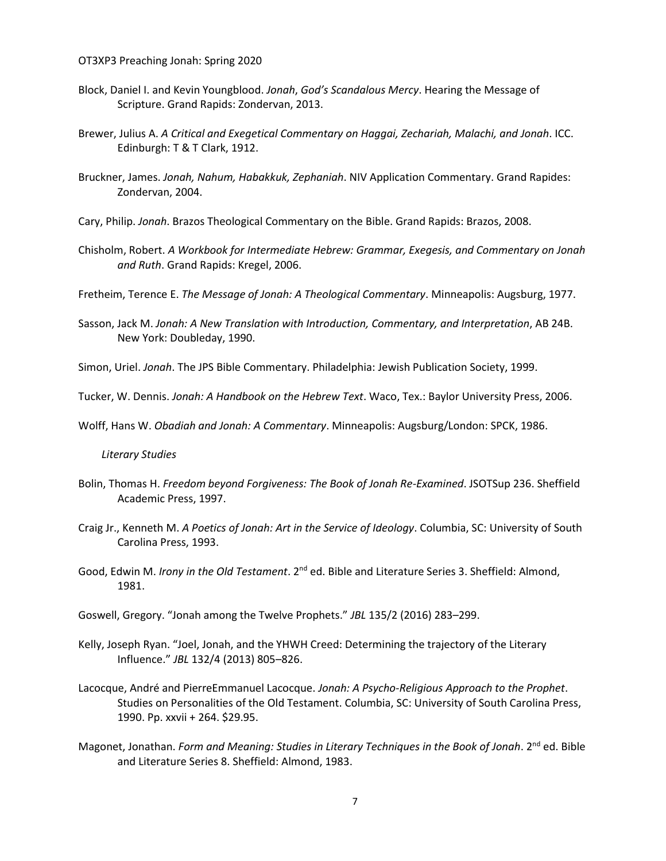- Block, Daniel I. and Kevin Youngblood. *Jonah*, *God's Scandalous Mercy*. Hearing the Message of Scripture. Grand Rapids: Zondervan, 2013.
- Brewer, Julius A. *A Critical and Exegetical Commentary on Haggai, Zechariah, Malachi, and Jonah*. ICC. Edinburgh: T & T Clark, 1912.
- Bruckner, James. *Jonah, Nahum, Habakkuk, Zephaniah*. NIV Application Commentary. Grand Rapides: Zondervan, 2004.
- Cary, Philip. *Jonah*. Brazos Theological Commentary on the Bible. Grand Rapids: Brazos, 2008.
- Chisholm, Robert. *A Workbook for Intermediate Hebrew: Grammar, Exegesis, and Commentary on Jonah and Ruth*. Grand Rapids: Kregel, 2006.

Fretheim, Terence E. *The Message of Jonah: A Theological Commentary*. Minneapolis: Augsburg, 1977.

Sasson, Jack M. *Jonah: A New Translation with Introduction, Commentary, and Interpretation*, AB 24B. New York: Doubleday, 1990.

Simon, Uriel. *Jonah*. The JPS Bible Commentary. Philadelphia: Jewish Publication Society, 1999.

Tucker, W. Dennis. *Jonah: A Handbook on the Hebrew Text*. Waco, Tex.: Baylor University Press, 2006.

Wolff, Hans W. *Obadiah and Jonah: A Commentary*. Minneapolis: Augsburg/London: SPCK, 1986.

#### *Literary Studies*

- Bolin, Thomas H. *Freedom beyond Forgiveness: The Book of Jonah Re-Examined*. JSOTSup 236. Sheffield Academic Press, 1997.
- Craig Jr., Kenneth M. *A Poetics of Jonah: Art in the Service of Ideology*. Columbia, SC: University of South Carolina Press, 1993.
- Good, Edwin M. *Irony in the Old Testament*. 2<sup>nd</sup> ed. Bible and Literature Series 3. Sheffield: Almond, 1981.
- Goswell, Gregory. "Jonah among the Twelve Prophets." *JBL* 135/2 (2016) 283–299.
- Kelly, Joseph Ryan. "Joel, Jonah, and the YHWH Creed: Determining the trajectory of the Literary Influence." *JBL* 132/4 (2013) 805–826.
- Lacocque, André and PierreEmmanuel Lacocque. *Jonah: A Psycho-Religious Approach to the Prophet*. Studies on Personalities of the Old Testament. Columbia, SC: University of South Carolina Press, 1990. Pp. xxvii + 264. \$29.95.
- Magonet, Jonathan. *Form and Meaning: Studies in Literary Techniques in the Book of Jonah*. 2nd ed. Bible and Literature Series 8. Sheffield: Almond, 1983.